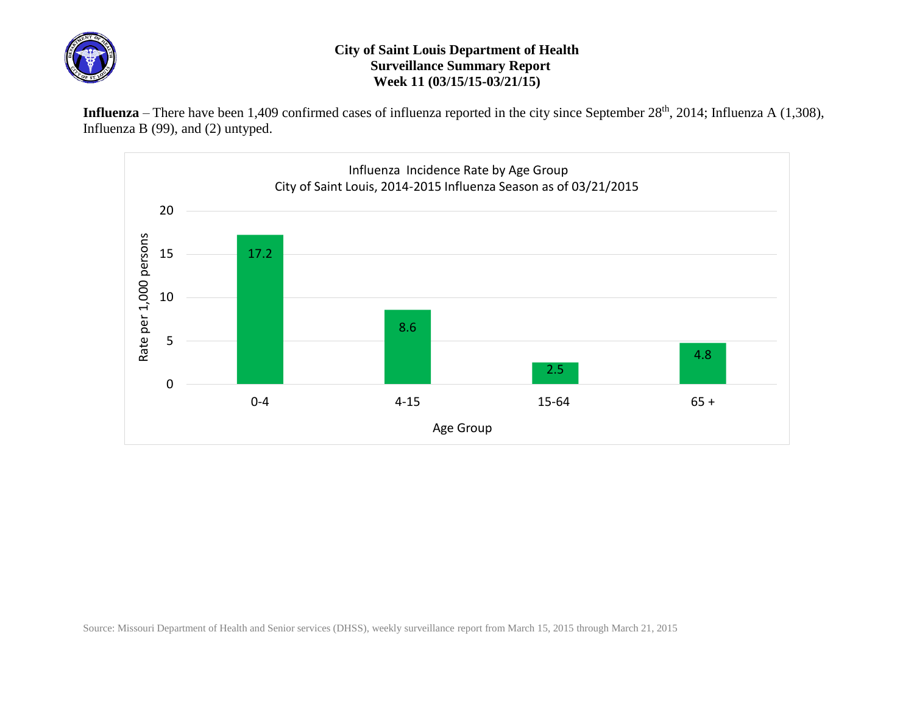

## **City of Saint Louis Department of Health Surveillance Summary Report Week 11 (03/15/15-03/21/15)**

Influenza – There have been 1,409 confirmed cases of influenza reported in the city since September 28<sup>th</sup>, 2014; Influenza A (1,308), Influenza B (99), and (2) untyped.